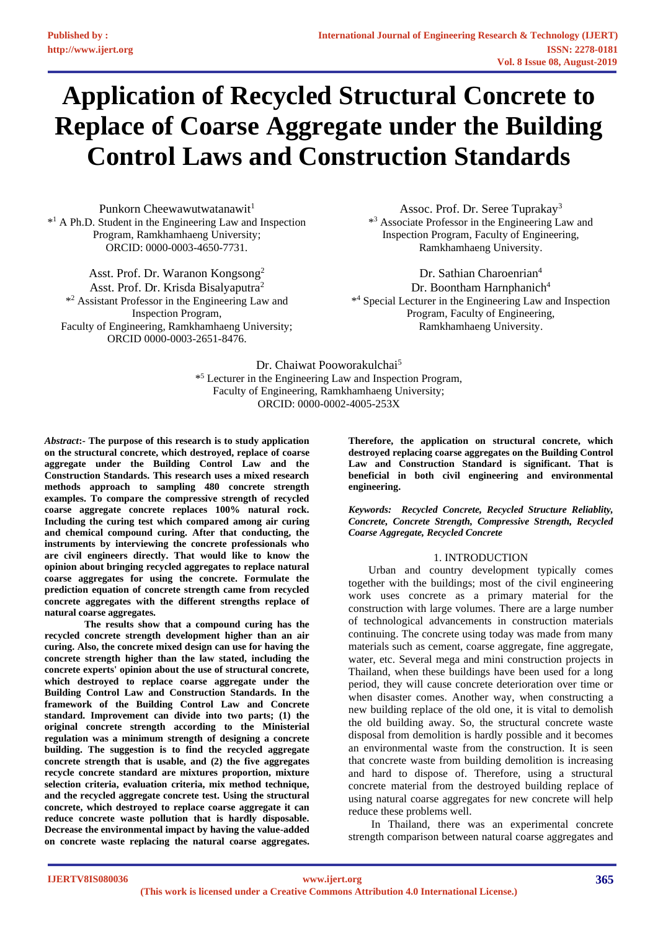# **Application of Recycled Structural Concrete to Replace of Coarse Aggregate under the Building Control Laws and Construction Standards**

Punkorn Cheewawutwatanawit<sup>1</sup> \* <sup>1</sup> A Ph.D. Student in the Engineering Law and Inspection Program, Ramkhamhaeng University; ORCID: 0000-0003-4650-7731.

Asst. Prof. Dr. Waranon Kongsong<sup>2</sup> Asst. Prof. Dr. Krisda Bisalyaputra<sup>2</sup> \* <sup>2</sup> Assistant Professor in the Engineering Law and Inspection Program, Faculty of Engineering, Ramkhamhaeng University; ORCID 0000-0003-2651-8476.

Assoc. Prof. Dr. Seree Tuprakay<sup>3</sup> \* <sup>3</sup> Associate Professor in the Engineering Law and Inspection Program, Faculty of Engineering, Ramkhamhaeng University.

Dr. Sathian Charoenrian<sup>4</sup> Dr. Boontham Harnphanich<sup>4</sup> \* <sup>4</sup> Special Lecturer in the Engineering Law and Inspection Program, Faculty of Engineering, Ramkhamhaeng University.

Dr. Chaiwat Pooworakulchai<sup>5</sup> \* <sup>5</sup> Lecturer in the Engineering Law and Inspection Program, Faculty of Engineering, Ramkhamhaeng University; ORCID: 0000-0002-4005-253X

*Abstract***:- The purpose of this research is to study application on the structural concrete, which destroyed, replace of coarse aggregate under the Building Control Law and the Construction Standards. This research uses a mixed research methods approach to sampling 480 concrete strength examples. To compare the compressive strength of recycled coarse aggregate concrete replaces 100% natural rock. Including the curing test which compared among air curing and chemical compound curing. After that conducting, the instruments by interviewing the concrete professionals who are civil engineers directly. That would like to know the opinion about bringing recycled aggregates to replace natural coarse aggregates for using the concrete. Formulate the prediction equation of concrete strength came from recycled concrete aggregates with the different strengths replace of natural coarse aggregates.**

**The results show that a compound curing has the recycled concrete strength development higher than an air curing. Also, the concrete mixed design can use for having the concrete strength higher than the law stated, including the concrete experts' opinion about the use of structural concrete, which destroyed to replace coarse aggregate under the Building Control Law and Construction Standards. In the framework of the Building Control Law and Concrete standard. Improvement can divide into two parts; (1) the original concrete strength according to the Ministerial regulation was a minimum strength of designing a concrete building. The suggestion is to find the recycled aggregate concrete strength that is usable, and (2) the five aggregates recycle concrete standard are mixtures proportion, mixture selection criteria, evaluation criteria, mix method technique, and the recycled aggregate concrete test. Using the structural concrete, which destroyed to replace coarse aggregate it can reduce concrete waste pollution that is hardly disposable. Decrease the environmental impact by having the value-added on concrete waste replacing the natural coarse aggregates.** 

**Therefore, the application on structural concrete, which destroyed replacing coarse aggregates on the Building Control Law and Construction Standard is significant. That is beneficial in both civil engineering and environmental engineering.**

*Keywords: Recycled Concrete, Recycled Structure Reliablity, Concrete, Concrete Strength, Compressive Strength, Recycled Coarse Aggregate, Recycled Concrete*

## 1. INTRODUCTION

Urban and country development typically comes together with the buildings; most of the civil engineering work uses concrete as a primary material for the construction with large volumes. There are a large number of technological advancements in construction materials continuing. The concrete using today was made from many materials such as cement, coarse aggregate, fine aggregate, water, etc. Several mega and mini construction projects in Thailand, when these buildings have been used for a long period, they will cause concrete deterioration over time or when disaster comes. Another way, when constructing a new building replace of the old one, it is vital to demolish the old building away. So, the structural concrete waste disposal from demolition is hardly possible and it becomes an environmental waste from the construction. It is seen that concrete waste from building demolition is increasing and hard to dispose of. Therefore, using a structural concrete material from the destroyed building replace of using natural coarse aggregates for new concrete will help reduce these problems well.

In Thailand, there was an experimental concrete strength comparison between natural coarse aggregates and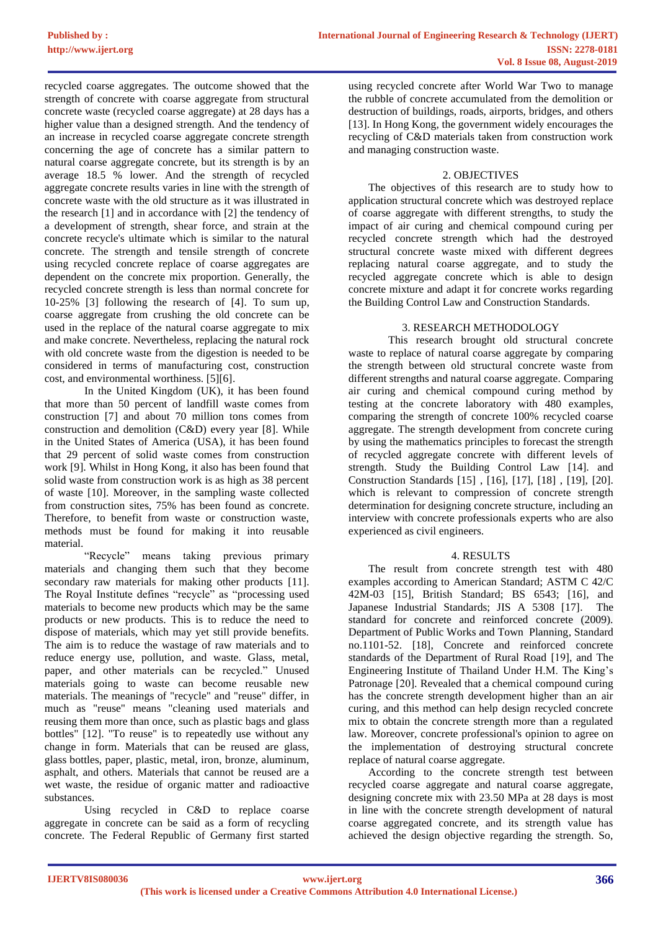recycled coarse aggregates. The outcome showed that the strength of concrete with coarse aggregate from structural concrete waste (recycled coarse aggregate) at 28 days has a higher value than a designed strength. And the tendency of an increase in recycled coarse aggregate concrete strength concerning the age of concrete has a similar pattern to natural coarse aggregate concrete, but its strength is by an average 18.5 % lower. And the strength of recycled aggregate concrete results varies in line with the strength of concrete waste with the old structure as it was illustrated in the research [1] and in accordance with [2] the tendency of a development of strength, shear force, and strain at the concrete recycle's ultimate which is similar to the natural concrete. The strength and tensile strength of concrete using recycled concrete replace of coarse aggregates are dependent on the concrete mix proportion. Generally, the recycled concrete strength is less than normal concrete for 10-25% [3] following the research of [4]. To sum up, coarse aggregate from crushing the old concrete can be used in the replace of the natural coarse aggregate to mix and make concrete. Nevertheless, replacing the natural rock with old concrete waste from the digestion is needed to be considered in terms of manufacturing cost, construction cost, and environmental worthiness. [5][6].

In the United Kingdom (UK), it has been found that more than 50 percent of landfill waste comes from construction [7] and about 70 million tons comes from construction and demolition (C&D) every year [8]. While in the United States of America (USA), it has been found that 29 percent of solid waste comes from construction work [9]. Whilst in Hong Kong, it also has been found that solid waste from construction work is as high as 38 percent of waste [10]. Moreover, in the sampling waste collected from construction sites, 75% has been found as concrete. Therefore, to benefit from waste or construction waste, methods must be found for making it into reusable material.

"Recycle" means taking previous primary materials and changing them such that they become secondary raw materials for making other products [11]. The Royal Institute defines "recycle" as "processing used materials to become new products which may be the same products or new products. This is to reduce the need to dispose of materials, which may yet still provide benefits. The aim is to reduce the wastage of raw materials and to reduce energy use, pollution, and waste. Glass, metal, paper, and other materials can be recycled." Unused materials going to waste can become reusable new materials. The meanings of "recycle" and "reuse" differ, in much as "reuse" means "cleaning used materials and reusing them more than once, such as plastic bags and glass bottles" [12]. "To reuse" is to repeatedly use without any change in form. Materials that can be reused are glass, glass bottles, paper, plastic, metal, iron, bronze, aluminum, asphalt, and others. Materials that cannot be reused are a wet waste, the residue of organic matter and radioactive substances.

Using recycled in C&D to replace coarse aggregate in concrete can be said as a form of recycling concrete. The Federal Republic of Germany first started

using recycled concrete after World War Two to manage the rubble of concrete accumulated from the demolition or destruction of buildings, roads, airports, bridges, and others [13]. In Hong Kong, the government widely encourages the recycling of C&D materials taken from construction work and managing construction waste.

# 2. OBJECTIVES

The objectives of this research are to study how to application structural concrete which was destroyed replace of coarse aggregate with different strengths, to study the impact of air curing and chemical compound curing per recycled concrete strength which had the destroyed structural concrete waste mixed with different degrees replacing natural coarse aggregate, and to study the recycled aggregate concrete which is able to design concrete mixture and adapt it for concrete works regarding the Building Control Law and Construction Standards.

# 3. RESEARCH METHODOLOGY

This research brought old structural concrete waste to replace of natural coarse aggregate by comparing the strength between old structural concrete waste from different strengths and natural coarse aggregate. Comparing air curing and chemical compound curing method by testing at the concrete laboratory with 480 examples, comparing the strength of concrete 100% recycled coarse aggregate. The strength development from concrete curing by using the mathematics principles to forecast the strength of recycled aggregate concrete with different levels of strength. Study the Building Control Law [14]. and Construction Standards [15] , [16], [17], [18] , [19], [20]. which is relevant to compression of concrete strength determination for designing concrete structure, including an interview with concrete professionals experts who are also experienced as civil engineers.

## 4. RESULTS

The result from concrete strength test with 480 examples according to American Standard; ASTM C 42/C 42M-03 [15], British Standard; BS 6543; [16], and Japanese Industrial Standards; JIS A 5308 [17]. The standard for concrete and reinforced concrete (2009). Department of Public Works and Town Planning, Standard no.1101-52. [18], Concrete and reinforced concrete standards of the Department of Rural Road [19], and The Engineering Institute of Thailand Under H.M. The King's Patronage [20]. Revealed that a chemical compound curing has the concrete strength development higher than an air curing, and this method can help design recycled concrete mix to obtain the concrete strength more than a regulated law. Moreover, concrete professional's opinion to agree on the implementation of destroying structural concrete replace of natural coarse aggregate.

According to the concrete strength test between recycled coarse aggregate and natural coarse aggregate, designing concrete mix with 23.50 MPa at 28 days is most in line with the concrete strength development of natural coarse aggregated concrete, and its strength value has achieved the design objective regarding the strength. So,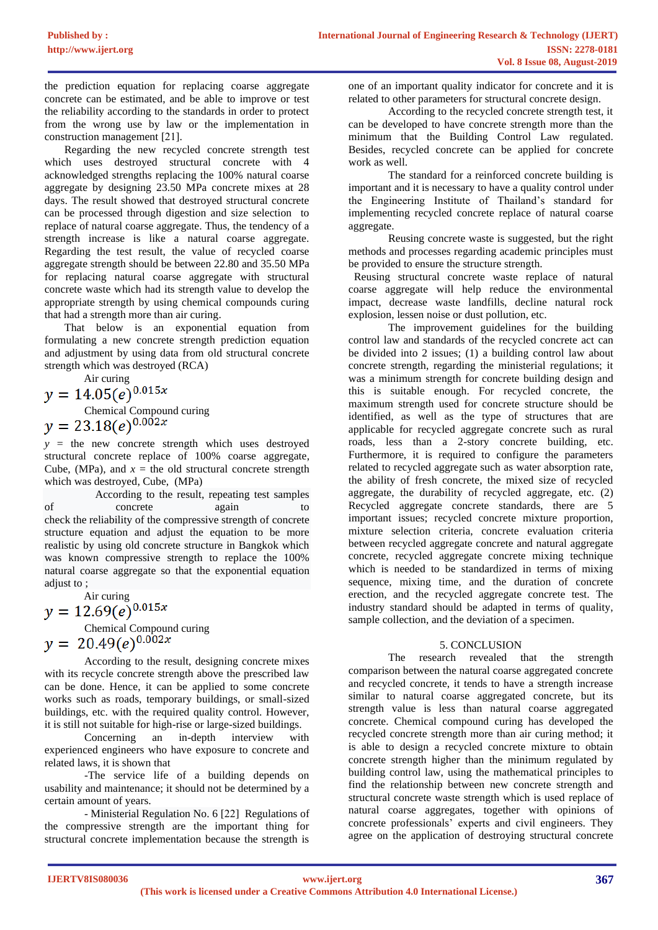the prediction equation for replacing coarse aggregate concrete can be estimated, and be able to improve or test the reliability according to the standards in order to protect from the wrong use by law or the implementation in construction management [21].

Regarding the new recycled concrete strength test which uses destroyed structural concrete with 4 acknowledged strengths replacing the 100% natural coarse aggregate by designing 23.50 MPa concrete mixes at 28 days. The result showed that destroyed structural concrete can be processed through digestion and size selection to replace of natural coarse aggregate. Thus, the tendency of a strength increase is like a natural coarse aggregate. Regarding the test result, the value of recycled coarse aggregate strength should be between 22.80 and 35.50 MPa for replacing natural coarse aggregate with structural concrete waste which had its strength value to develop the appropriate strength by using chemical compounds curing that had a strength more than air curing.

That below is an exponential equation from formulating a new concrete strength prediction equation and adjustment by using data from old structural concrete strength which was destroyed (RCA)

Air curing<br> $y = 14.05(e)^{0.015x}$ Chemical Compound curing<br>  $y = 23.18(e)^{0.002x}$ 

 $y =$  the new concrete strength which uses destroyed structural concrete replace of 100% coarse aggregate, Cube, (MPa), and  $x =$  the old structural concrete strength which was destroyed, Cube, (MPa)

According to the result, repeating test samples of concrete again to check the reliability of the compressive strength of concrete structure equation and adjust the equation to be more realistic by using old concrete structure in Bangkok which was known compressive strength to replace the 100% natural coarse aggregate so that the exponential equation adjust to ;

Air curing<br> $y = 12.69(e)^{0.015x}$ Chemical Compound curing<br>  $y = 20.49(e)^{0.002x}$ 

According to the result, designing concrete mixes with its recycle concrete strength above the prescribed law can be done. Hence, it can be applied to some concrete works such as roads, temporary buildings, or small-sized buildings, etc. with the required quality control. However, it is still not suitable for high-rise or large-sized buildings.

Concerning an in-depth interview with experienced engineers who have exposure to concrete and related laws, it is shown that

-The service life of a building depends on usability and maintenance; it should not be determined by a certain amount of years.

- Ministerial Regulation No. 6 [22] Regulations of the compressive strength are the important thing for structural concrete implementation because the strength is

one of an important quality indicator for concrete and it is related to other parameters for structural concrete design.

According to the recycled concrete strength test, it can be developed to have concrete strength more than the minimum that the Building Control Law regulated. Besides, recycled concrete can be applied for concrete work as well.

The standard for a reinforced concrete building is important and it is necessary to have a quality control under the Engineering Institute of Thailand's standard for implementing recycled concrete replace of natural coarse aggregate.

Reusing concrete waste is suggested, but the right methods and processes regarding academic principles must be provided to ensure the structure strength.

 Reusing structural concrete waste replace of natural coarse aggregate will help reduce the environmental impact, decrease waste landfills, decline natural rock explosion, lessen noise or dust pollution, etc.

The improvement guidelines for the building control law and standards of the recycled concrete act can be divided into 2 issues; (1) a building control law about concrete strength, regarding the ministerial regulations; it was a minimum strength for concrete building design and this is suitable enough. For recycled concrete, the maximum strength used for concrete structure should be identified, as well as the type of structures that are applicable for recycled aggregate concrete such as rural roads, less than a 2-story concrete building, etc. Furthermore, it is required to configure the parameters related to recycled aggregate such as water absorption rate, the ability of fresh concrete, the mixed size of recycled aggregate, the durability of recycled aggregate, etc. (2) Recycled aggregate concrete standards, there are 5 important issues; recycled concrete mixture proportion, mixture selection criteria, concrete evaluation criteria between recycled aggregate concrete and natural aggregate concrete, recycled aggregate concrete mixing technique which is needed to be standardized in terms of mixing sequence, mixing time, and the duration of concrete erection, and the recycled aggregate concrete test. The industry standard should be adapted in terms of quality, sample collection, and the deviation of a specimen.

## 5. CONCLUSION

The research revealed that the strength comparison between the natural coarse aggregated concrete and recycled concrete, it tends to have a strength increase similar to natural coarse aggregated concrete, but its strength value is less than natural coarse aggregated concrete. Chemical compound curing has developed the recycled concrete strength more than air curing method; it is able to design a recycled concrete mixture to obtain concrete strength higher than the minimum regulated by building control law, using the mathematical principles to find the relationship between new concrete strength and structural concrete waste strength which is used replace of natural coarse aggregates, together with opinions of concrete professionals' experts and civil engineers. They agree on the application of destroying structural concrete